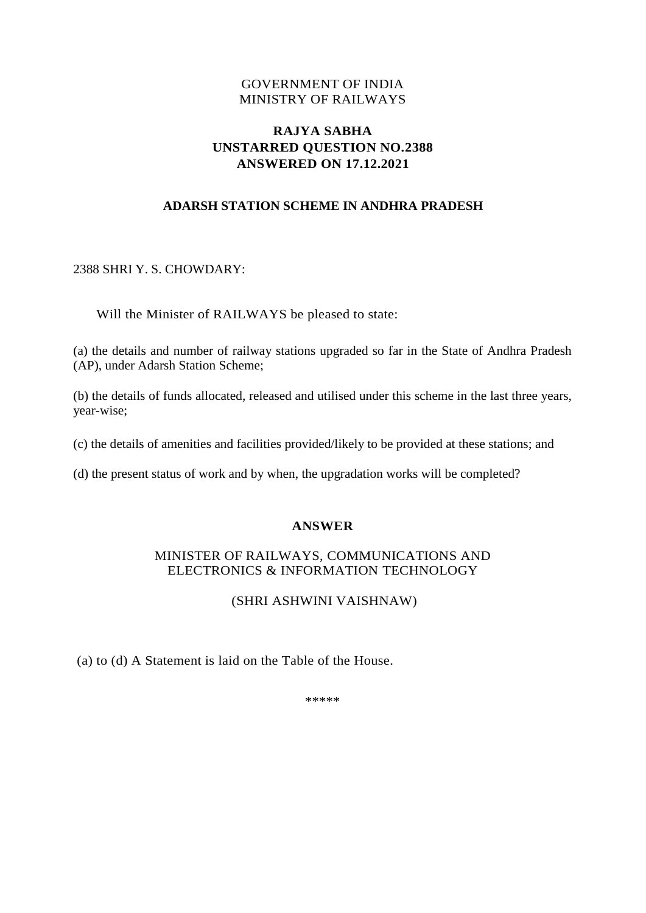## GOVERNMENT OF INDIA MINISTRY OF RAILWAYS

# **RAJYA SABHA UNSTARRED QUESTION NO.2388 ANSWERED ON 17.12.2021**

## **ADARSH STATION SCHEME IN ANDHRA PRADESH**

#### 2388 SHRI Y. S. CHOWDARY:

Will the Minister of RAILWAYS be pleased to state:

(a) the details and number of railway stations upgraded so far in the State of Andhra Pradesh (AP), under Adarsh Station Scheme;

(b) the details of funds allocated, released and utilised under this scheme in the last three years, year-wise;

(c) the details of amenities and facilities provided/likely to be provided at these stations; and

(d) the present status of work and by when, the upgradation works will be completed?

#### **ANSWER**

### MINISTER OF RAILWAYS, COMMUNICATIONS AND ELECTRONICS & INFORMATION TECHNOLOGY

# (SHRI ASHWINI VAISHNAW)

(a) to (d) A Statement is laid on the Table of the House.

\*\*\*\*\*